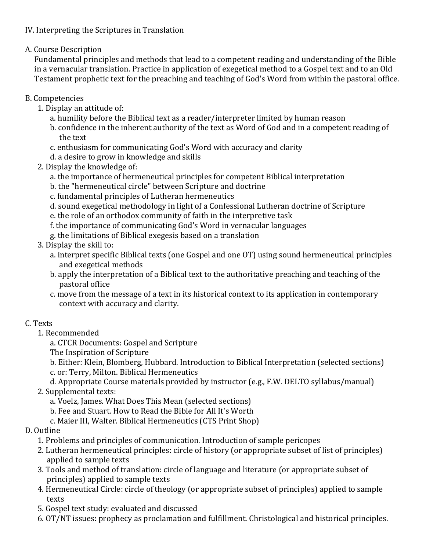## IV. Interpreting the Scriptures in Translation

A. Course Description

Fundamental principles and methods that lead to a competent reading and understanding of the Bible in a vernacular translation. Practice in application of exegetical method to a Gospel text and to an Old Testament prophetic text for the preaching and teaching of God's Word from within the pastoral office.

- B. Competencies
	- 1. Display an attitude of:
		- a. humility before the Biblical text as a reader/interpreter limited by human reason
		- b. confidence in the inherent authority of the text as Word of God and in a competent reading of the text
		- c. enthusiasm for communicating God's Word with accuracy and clarity
		- d. a desire to grow in knowledge and skills
	- 2. Display the knowledge of:
		- a. the importance of hermeneutical principles for competent Biblical interpretation
		- b. the "hermeneutical circle" between Scripture and doctrine
		- c. fundamental principles of Lutheran hermeneutics
		- d. sound exegetical methodology in light of a Confessional Lutheran doctrine of Scripture
		- e. the role of an orthodox community of faith in the interpretive task
		- f. the importance of communicating God's Word in vernacular languages
		- g. the limitations of Biblical exegesis based on a translation
	- 3. Display the skill to:
		- a. interpret specific Biblical texts (one Gospel and one OT) using sound hermeneutical principles and exegetical methods
		- b. apply the interpretation of a Biblical text to the authoritative preaching and teaching of the pastoral office
		- c. move from the message of a text in its historical context to its application in contemporary context with accuracy and clarity.

## C. Texts

- 1. Recommended
	- a. CTCR Documents: Gospel and Scripture
	- The Inspiration of Scripture
	- b. Either: Klein, Blomberg, Hubbard. Introduction to Biblical Interpretation (selected sections)
	- c. or: Terry, Milton. Biblical Hermeneutics
	- d. Appropriate Course materials provided by instructor (e.g., F.W. DELTO syllabus/manual)

## 2. Supplemental texts:

- a. Voelz, James. What Does This Mean (selected sections)
- b. Fee and Stuart. How to Read the Bible for All It's Worth
- c. Maier III, Walter. Biblical Hermeneutics (CTS Print Shop)

## D. Outline

- 1. Problems and principles of communication. Introduction of sample pericopes
- 2. Lutheran hermeneutical principles: circle of history (or appropriate subset of list of principles) applied to sample texts
- 3. Tools and method of translation: circle of language and literature (or appropriate subset of principles) applied to sample texts
- 4. Hermeneutical Circle: circle of theology (or appropriate subset of principles) applied to sample texts
- 5. Gospel text study: evaluated and discussed
- 6. OT/NT issues: prophecy as proclamation and fulfillment. Christological and historical principles.